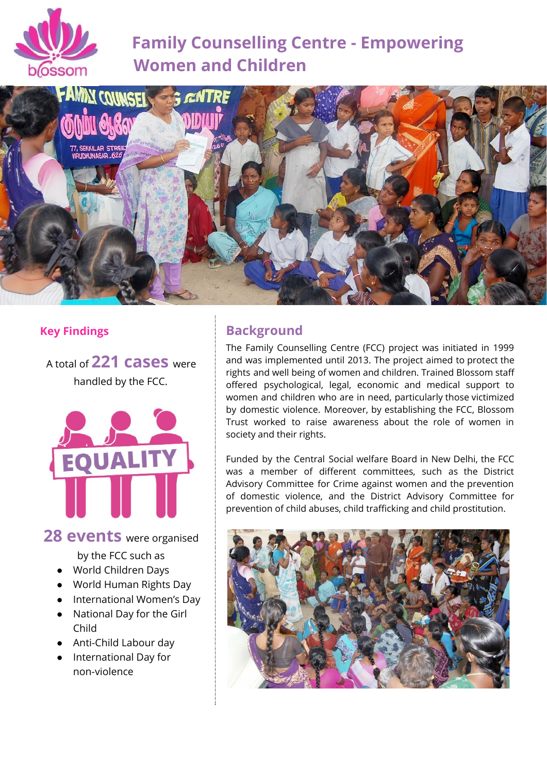

# **Family Counselling Centre - Empowering Women and Children**



### **Key Findings**

<sup>A</sup> total of **221 cases** were handled by the FCC.



## **28 events** were organised

by the FCC such as

- World Children Days
- World Human Rights Day
- International Women's Day
- National Day for the Girl Child
- Anti-Child Labour day
- International Day for non-violence

# **Background**

The Family Counselling Centre (FCC) project was initiated in 1999 and was implemented until 2013. The project aimed to protect the rights and well being of women and children. Trained Blossom staff offered psychological, legal, economic and medical support to women and children who are in need, particularly those victimized by domestic violence. Moreover, by establishing the FCC, Blossom Trust worked to raise awareness about the role of women in society and their rights.

Funded by the Central Social welfare Board in New Delhi, the FCC was a member of different committees, such as the District Advisory Committee for Crime against women and the prevention of domestic violence, and the District Advisory Committee for prevention of child abuses, child trafficking and child prostitution.